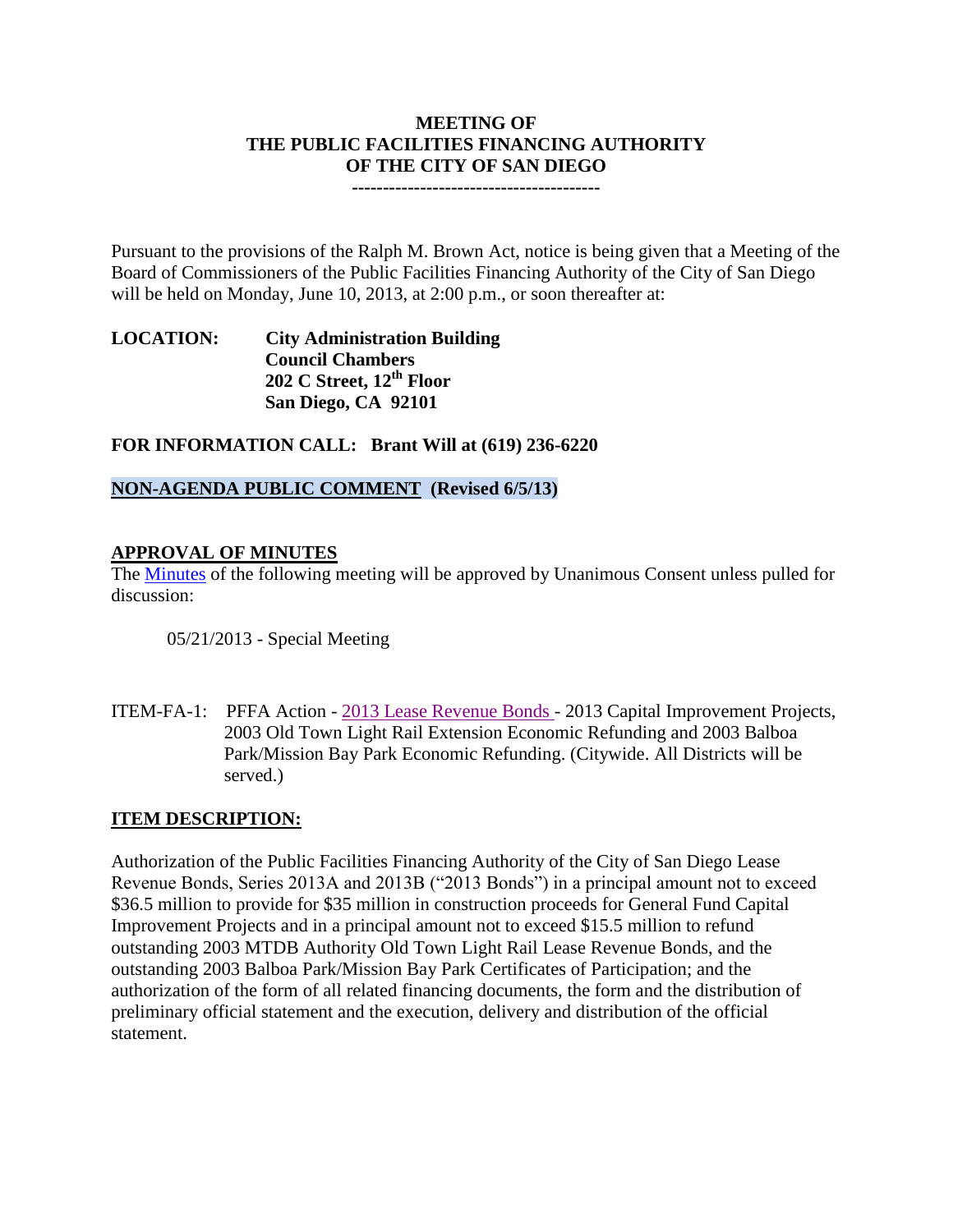## **MEETING OF THE PUBLIC FACILITIES FINANCING AUTHORITY OF THE CITY OF SAN DIEGO**

**----------------------------------------**

Pursuant to the provisions of the Ralph M. Brown Act, notice is being given that a Meeting of the Board of Commissioners of the Public Facilities Financing Authority of the City of San Diego will be held on Monday, June 10, 2013, at 2:00 p.m., or soon thereafter at:

## **LOCATION: City Administration Building Council Chambers 202 C Street, 12th Floor San Diego, CA 92101**

**FOR INFORMATION CALL: Brant Will at (619) 236-6220**

# **NON-AGENDA PUBLIC COMMENT (Revised 6/5/13)**

## **APPROVAL OF MINUTES**

The [Minutes](http://www.sandiego.gov/city-clerk/pdf/pffa/pffaminutes052113.pdf) of the following meeting will be approved by Unanimous Consent unless pulled for discussion:

05/21/2013 - Special Meeting

ITEM-FA-1: PFFA Action - [2013 Lease Revenue Bonds](http://www.sandiego.gov/city-clerk/pdf/pffa/2013leaserevenuebond.pdf) - 2013 Capital Improvement Projects, 2003 Old Town Light Rail Extension Economic Refunding and 2003 Balboa Park/Mission Bay Park Economic Refunding. (Citywide. All Districts will be served.)

## **ITEM DESCRIPTION:**

Authorization of the Public Facilities Financing Authority of the City of San Diego Lease Revenue Bonds, Series 2013A and 2013B ("2013 Bonds") in a principal amount not to exceed \$36.5 million to provide for \$35 million in construction proceeds for General Fund Capital Improvement Projects and in a principal amount not to exceed \$15.5 million to refund outstanding 2003 MTDB Authority Old Town Light Rail Lease Revenue Bonds, and the outstanding 2003 Balboa Park/Mission Bay Park Certificates of Participation; and the authorization of the form of all related financing documents, the form and the distribution of preliminary official statement and the execution, delivery and distribution of the official statement.